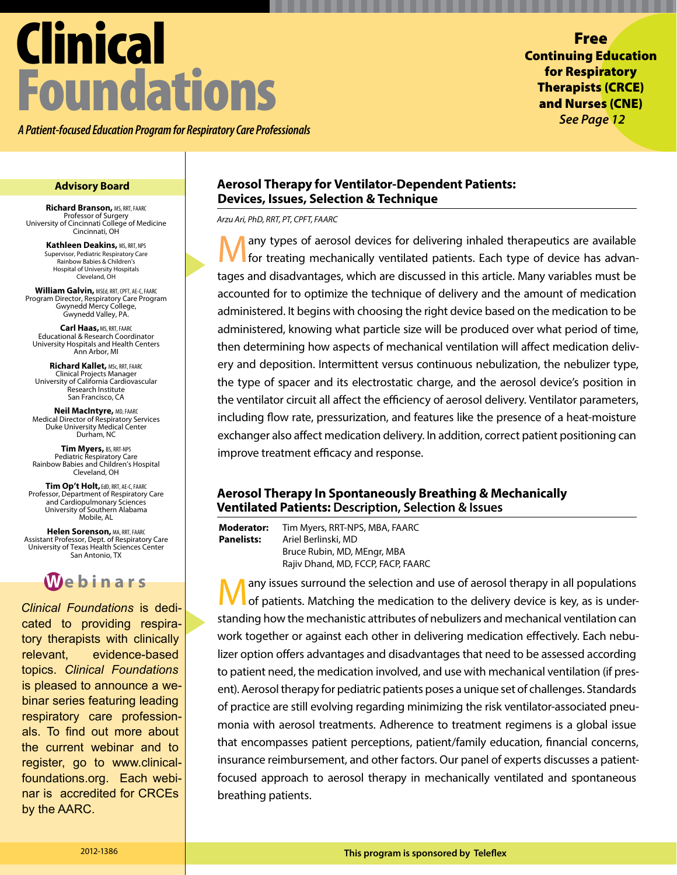# Clinical Foundations

*A Patient-focused Education Program for Respiratory Care Professionals*

Free Continuing Education for Respiratory Therapists (CRCE) and Nurses (CNE) *See Page 12*

**Richard Branson,** MS, RRT, FAARC Professor of Surgery University of Cincinnati College of Medicine Cincinnati, OH

> **Kathleen Deakins, MS, RRT, NPS** Supervisor, Pediatric Respiratory Care Rainbow Babies & Children's Hospital of University Hospitals Cleveland, OH

**William Galvin,** MSEd, RRT, CPFT, AE-C, FAARC Program Director, Respiratory Care Program Gwynedd Mercy College, Gwynedd Valley, PA.

**Carl Haas,**MS, RRT, FAARC Educational & Research Coordinator University Hospitals and Health Centers Ann Arbor, MI

**Richard Kallet,** MSc, RRT, FAARC Clinical Projects Manager University of California Cardiovascular Research Institute San Francisco, CA

**Neil MacIntyre,** MD, FAARC Medical Director of Respiratory Services Duke University Medical Center Durham, NC

**Tim Myers,** BS, RRT-NPS Pediatric Respiratory Care Rainbow Babies and Children's Hospital Cleveland, OH

**Tim Op't Holt,**EdD, RRT, AE-C, FAARC Professor, Department of Respiratory Care and Cardiopulmonary Sciences University of Southern Alabama Mobile, AL

**Helen Sorenson,** MA, RRT, FAARC Assistant Professor, Dept. of Respiratory Care University of Texas Health Sciences Center San Antonio, TX



*Clinical Foundations* is dedicated to providing respiratory therapists with clinically relevant, evidence-based topics. *Clinical Foundations* is pleased to announce a webinar series featuring leading respiratory care professionals. To find out more about the current webinar and to register, go to www.clinicalfoundations.org. Each webinar is accredited for CRCEs by the AARC.

# **Advisory Board Aerosol Therapy for Ventilator-Dependent Patients: Devices, Issues, Selection & Technique**

*Arzu Ari, PhD, RRT, PT, CPFT, FAARC*

**Many types of aerosol devices for delivering inhaled therapeutics are available**<br>for treating mechanically ventilated patients. Each type of device has advantages and disadvantages, which are discussed in this article. Many variables must be accounted for to optimize the technique of delivery and the amount of medication administered. It begins with choosing the right device based on the medication to be administered, knowing what particle size will be produced over what period of time, then determining how aspects of mechanical ventilation will affect medication delivery and deposition. Intermittent versus continuous nebulization, the nebulizer type, the type of spacer and its electrostatic charge, and the aerosol device's position in the ventilator circuit all affect the efficiency of aerosol delivery. Ventilator parameters, including flow rate, pressurization, and features like the presence of a heat-moisture exchanger also affect medication delivery. In addition, correct patient positioning can improve treatment efficacy and response.

# **Aerosol Therapy In Spontaneously Breathing & Mechanically Ventilated Patients: Description, Selection & Issues**

**Moderator:** Tim Myers, RRT-NPS, MBA, FAARC **Panelists:** Ariel Berlinski, MD Bruce Rubin, MD, MEngr, MBA Rajiv Dhand, MD, FCCP, FACP, FAARC

**M** any issues surround the selection and use of aerosol therapy in all populations of patients. Matching the medication to the delivery device is key, as is understanding how the mechanistic attributes of nebulizers and mechanical ventilation can work together or against each other in delivering medication effectively. Each nebulizer option offers advantages and disadvantages that need to be assessed according to patient need, the medication involved, and use with mechanical ventilation (if present). Aerosol therapy for pediatric patients poses a unique set of challenges. Standards of practice are still evolving regarding minimizing the risk ventilator-associated pneumonia with aerosol treatments. Adherence to treatment regimens is a global issue that encompasses patient perceptions, patient/family education, financial concerns, insurance reimbursement, and other factors. Our panel of experts discusses a patientfocused approach to aerosol therapy in mechanically ventilated and spontaneous breathing patients.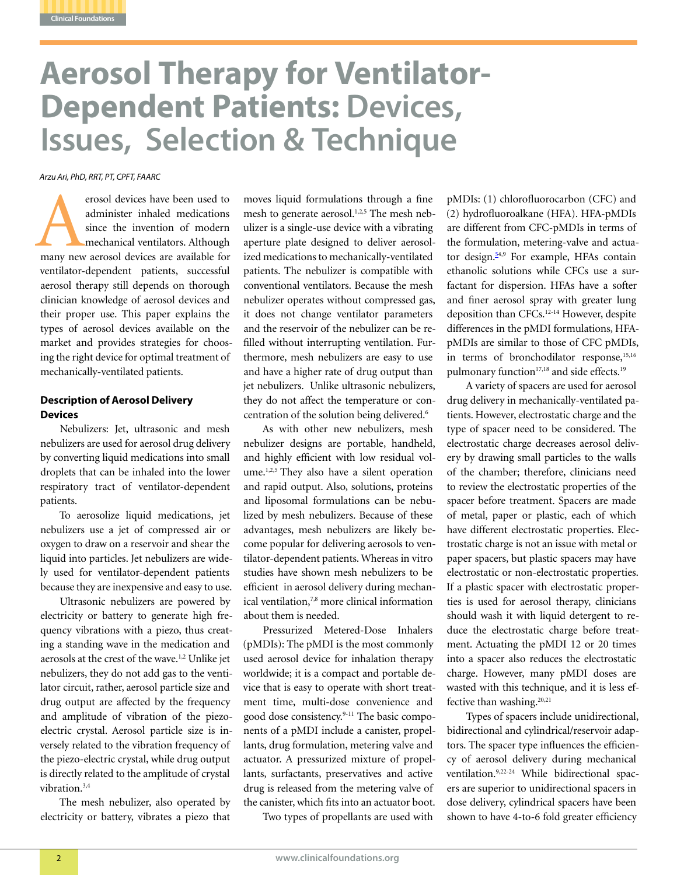

# **Aerosol Therapy for Ventilator-Dependent Patients: Devices, Issues, Selection & Technique**

*Arzu Ari, PhD, RRT, PT, CPFT, FAARC*

erosol devices have been used to<br>administer inhaled medications<br>since the invention of modern<br>mechanical ventilators. Although<br>many new aerosol devices are available for administer inhaled medications since the invention of modern mechanical ventilators. Although ventilator-dependent patients, successful aerosol therapy still depends on thorough clinician knowledge of aerosol devices and their proper use. This paper explains the types of aerosol devices available on the market and provides strategies for choosing the right device for optimal treatment of mechanically-ventilated patients.

# **Description of Aerosol Delivery Devices**

Nebulizers: Jet, ultrasonic and mesh nebulizers are used for aerosol drug delivery by converting liquid medications into small droplets that can be inhaled into the lower respiratory tract of ventilator-dependent patients.

To aerosolize liquid medications, jet nebulizers use a jet of compressed air or oxygen to draw on a reservoir and shear the liquid into particles. Jet nebulizers are widely used for ventilator-dependent patients because they are inexpensive and easy to use.

Ultrasonic nebulizers are powered by electricity or battery to generate high frequency vibrations with a piezo, thus creating a standing wave in the medication and aerosols at the crest of the wave.<sup>1,2</sup> Unlike jet nebulizers, they do not add gas to the ventilator circuit, rather, aerosol particle size and drug output are affected by the frequency and amplitude of vibration of the piezoelectric crystal. Aerosol particle size is inversely related to the vibration frequency of the piezo-electric crystal, while drug output is directly related to the amplitude of crystal vibration $3,4$ 

The mesh nebulizer, also operated by electricity or battery, vibrates a piezo that

moves liquid formulations through a fine mesh to generate aerosol.<sup>1,2,5</sup> The mesh nebulizer is a single-use device with a vibrating aperture plate designed to deliver aerosolized medications to mechanically-ventilated patients. The nebulizer is compatible with conventional ventilators. Because the mesh nebulizer operates without compressed gas, it does not change ventilator parameters and the reservoir of the nebulizer can be refilled without interrupting ventilation. Furthermore, mesh nebulizers are easy to use and have a higher rate of drug output than jet nebulizers. Unlike ultrasonic nebulizers, they do not affect the temperature or concentration of the solution being delivered.<sup>6</sup>

As with other new nebulizers, mesh nebulizer designs are portable, handheld, and highly efficient with low residual volume.<sup>1,2,5</sup> They also have a silent operation and rapid output. Also, solutions, proteins and liposomal formulations can be nebulized by mesh nebulizers. Because of these advantages, mesh nebulizers are likely become popular for delivering aerosols to ventilator-dependent patients. Whereas in vitro studies have shown mesh nebulizers to be efficient in aerosol delivery during mechanical ventilation,7,8 more clinical information about them is needed.

Pressurized Metered-Dose Inhalers (pMDIs): The pMDI is the most commonly used aerosol device for inhalation therapy worldwide; it is a compact and portable device that is easy to operate with short treatment time, multi-dose convenience and good dose consistency.<sup>9-11</sup> The basic components of a pMDI include a canister, propellants, drug formulation, metering valve and actuator. A pressurized mixture of propellants, surfactants, preservatives and active drug is released from the metering valve of the canister, which fits into an actuator boot.

Two types of propellants are used with

pMDIs: (1) chlorofluorocarbon (CFC) and (2) hydrofluoroalkane (HFA). HFA-pMDIs are different from CFC-pMDIs in terms of the formulation, metering-valve and actuator design. $54,9$  For example, HFAs contain ethanolic solutions while CFCs use a surfactant for dispersion. HFAs have a softer and finer aerosol spray with greater lung deposition than CFCs.12-14 However, despite differences in the pMDI formulations, HFApMDIs are similar to those of CFC pMDIs, in terms of bronchodilator response,<sup>15,16</sup> pulmonary function<sup>17,18</sup> and side effects.<sup>19</sup>

A variety of spacers are used for aerosol drug delivery in mechanically-ventilated patients. However, electrostatic charge and the type of spacer need to be considered. The electrostatic charge decreases aerosol delivery by drawing small particles to the walls of the chamber; therefore, clinicians need to review the electrostatic properties of the spacer before treatment. Spacers are made of metal, paper or plastic, each of which have different electrostatic properties. Electrostatic charge is not an issue with metal or paper spacers, but plastic spacers may have electrostatic or non-electrostatic properties. If a plastic spacer with electrostatic properties is used for aerosol therapy, clinicians should wash it with liquid detergent to reduce the electrostatic charge before treatment. Actuating the pMDI 12 or 20 times into a spacer also reduces the electrostatic charge. However, many pMDI doses are wasted with this technique, and it is less effective than washing.<sup>20,21</sup>

Types of spacers include unidirectional, bidirectional and cylindrical/reservoir adaptors. The spacer type influences the efficiency of aerosol delivery during mechanical ventilation.9,22-24 While bidirectional spacers are superior to unidirectional spacers in dose delivery, cylindrical spacers have been shown to have 4-to-6 fold greater efficiency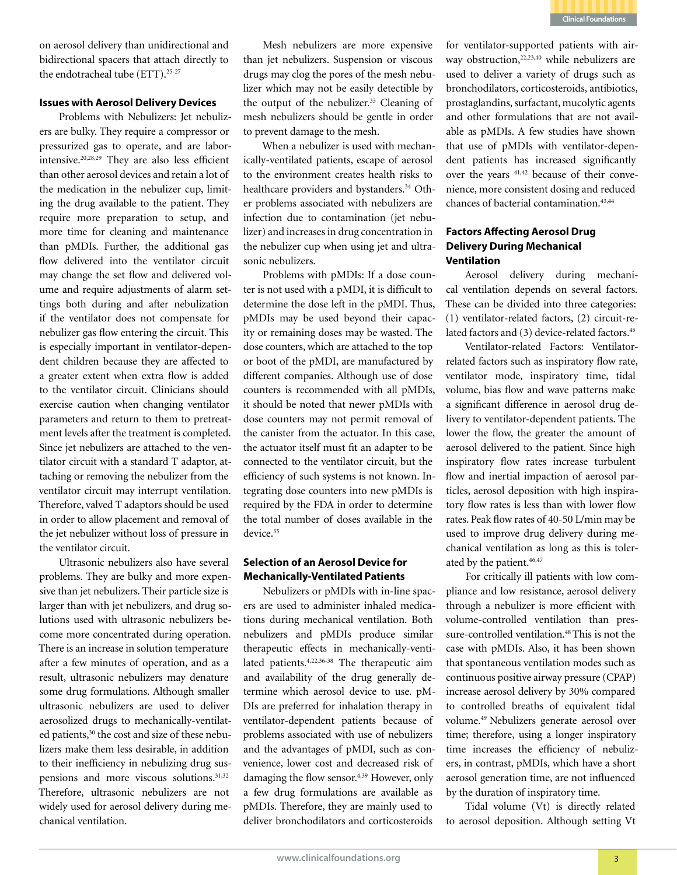

on aerosol delivery than unidirectional and bidirectional spacers that attach directly to the endotracheal tube (ETT).<sup>25-27</sup>

### **Issues with Aerosol Delivery Devices**

Problems with Nebulizers: Jet nebulizers are bulky. They require a compressor or pressurized gas to operate, and are laborintensive.20,28,29 They are also less efficient than other aerosol devices and retain a lot of the medication in the nebulizer cup, limiting the drug available to the patient. They require more preparation to setup, and more time for cleaning and maintenance than pMDIs. Further, the additional gas flow delivered into the ventilator circuit may change the set flow and delivered volume and require adjustments of alarm settings both during and after nebulization if the ventilator does not compensate for nebulizer gas flow entering the circuit. This is especially important in ventilator-dependent children because they are affected to a greater extent when extra flow is added to the ventilator circuit. Clinicians should exercise caution when changing ventilator parameters and return to them to pretreatment levels after the treatment is completed. Since jet nebulizers are attached to the ventilator circuit with a standard T adaptor, attaching or removing the nebulizer from the ventilator circuit may interrupt ventilation. Therefore, valved T adaptors should be used in order to allow placement and removal of the jet nebulizer without loss of pressure in the ventilator circuit.

Ultrasonic nebulizers also have several problems. They are bulky and more expensive than jet nebulizers. Their particle size is larger than with jet nebulizers, and drug solutions used with ultrasonic nebulizers become more concentrated during operation. There is an increase in solution temperature after a few minutes of operation, and as a result, ultrasonic nebulizers may denature some drug formulations. Although smaller ultrasonic nebulizers are used to deliver aerosolized drugs to mechanically-ventilated patients,<sup>30</sup> the cost and size of these nebulizers make them less desirable, in addition to their inefficiency in nebulizing drug suspensions and more viscous solutions.<sup>31,32</sup> Therefore, ultrasonic nebulizers are not widely used for aerosol delivery during mechanical ventilation.

Mesh nebulizers are more expensive than jet nebulizers. Suspension or viscous drugs may clog the pores of the mesh nebulizer which may not be easily detectible by the output of the nebulizer.<sup>33</sup> Cleaning of mesh nebulizers should be gentle in order to prevent damage to the mesh.

When a nebulizer is used with mechanically-ventilated patients, escape of aerosol to the environment creates health risks to healthcare providers and bystanders.<sup>34</sup> Other problems associated with nebulizers are infection due to contamination (jet nebulizer) and increases in drug concentration in the nebulizer cup when using jet and ultrasonic nebulizers.

Problems with pMDIs: If a dose counter is not used with a pMDI, it is difficult to determine the dose left in the pMDI. Thus, pMDIs may be used beyond their capacity or remaining doses may be wasted. The dose counters, which are attached to the top or boot of the pMDI, are manufactured by different companies. Although use of dose counters is recommended with all pMDIs, it should be noted that newer pMDIs with dose counters may not permit removal of the canister from the actuator. In this case, the actuator itself must fit an adapter to be connected to the ventilator circuit, but the efficiency of such systems is not known. Integrating dose counters into new pMDIs is required by the FDA in order to determine the total number of doses available in the device<sup>35</sup>

## **Selection of an Aerosol Device for Mechanically-Ventilated Patients**

Nebulizers or pMDIs with in-line spacers are used to administer inhaled medications during mechanical ventilation. Both nebulizers and pMDIs produce similar therapeutic effects in mechanically-ventilated patients.4,22,36-38 The therapeutic aim and availability of the drug generally determine which aerosol device to use. pM-DIs are preferred for inhalation therapy in ventilator-dependent patients because of problems associated with use of nebulizers and the advantages of pMDI, such as convenience, lower cost and decreased risk of damaging the flow sensor.<sup>4,39</sup> However, only a few drug formulations are available as pMDIs. Therefore, they are mainly used to deliver bronchodilators and corticosteroids

for ventilator-supported patients with airway obstruction,<sup>22,23,40</sup> while nebulizers are used to deliver a variety of drugs such as bronchodilators, corticosteroids, antibiotics, prostaglandins, surfactant, mucolytic agents and other formulations that are not available as pMDIs. A few studies have shown that use of pMDIs with ventilator-dependent patients has increased significantly over the years 41,42 because of their convenience, more consistent dosing and reduced chances of bacterial contamination.<sup>43,44</sup>

# **Factors Affecting Aerosol Drug Delivery During Mechanical Ventilation**

Aerosol delivery during mechanical ventilation depends on several factors. These can be divided into three categories: (1) ventilator-related factors, (2) circuit-related factors and (3) device-related factors.<sup>45</sup>

Ventilator-related Factors: Ventilatorrelated factors such as inspiratory flow rate, ventilator mode, inspiratory time, tidal volume, bias flow and wave patterns make a significant difference in aerosol drug delivery to ventilator-dependent patients. The lower the flow, the greater the amount of aerosol delivered to the patient. Since high inspiratory flow rates increase turbulent flow and inertial impaction of aerosol particles, aerosol deposition with high inspiratory flow rates is less than with lower flow rates. Peak flow rates of 40-50 L/min may be used to improve drug delivery during mechanical ventilation as long as this is tolerated by the patient.<sup>46,47</sup>

For critically ill patients with low compliance and low resistance, aerosol delivery through a nebulizer is more efficient with volume-controlled ventilation than pressure-controlled ventilation.<sup>48</sup> This is not the case with pMDIs. Also, it has been shown that spontaneous ventilation modes such as continuous positive airway pressure (CPAP) increase aerosol delivery by 30% compared to controlled breaths of equivalent tidal volume.49 Nebulizers generate aerosol over time; therefore, using a longer inspiratory time increases the efficiency of nebulizers, in contrast, pMDIs, which have a short aerosol generation time, are not influenced by the duration of inspiratory time.

Tidal volume (Vt) is directly related to aerosol deposition. Although setting Vt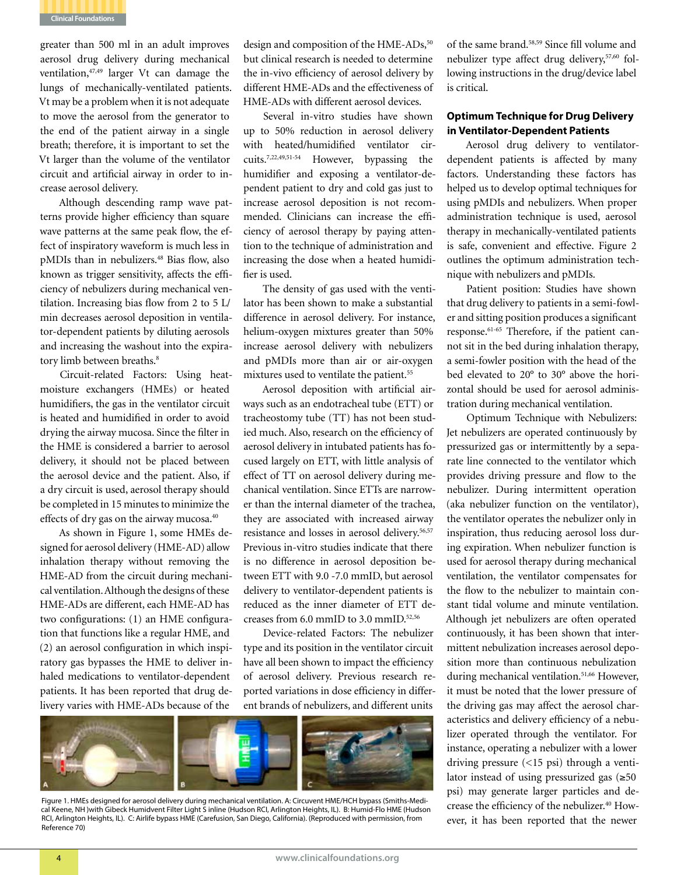

greater than 500 ml in an adult improves aerosol drug delivery during mechanical ventilation,47,49 larger Vt can damage the lungs of mechanically-ventilated patients. Vt may be a problem when it is not adequate to move the aerosol from the generator to the end of the patient airway in a single breath; therefore, it is important to set the Vt larger than the volume of the ventilator circuit and artificial airway in order to increase aerosol delivery.

Although descending ramp wave patterns provide higher efficiency than square wave patterns at the same peak flow, the effect of inspiratory waveform is much less in pMDIs than in nebulizers.48 Bias flow, also known as trigger sensitivity, affects the efficiency of nebulizers during mechanical ventilation. Increasing bias flow from 2 to 5 L/ min decreases aerosol deposition in ventilator-dependent patients by diluting aerosols and increasing the washout into the expiratory limb between breaths.<sup>8</sup>

Circuit-related Factors: Using heatmoisture exchangers (HMEs) or heated humidifiers, the gas in the ventilator circuit is heated and humidified in order to avoid drying the airway mucosa. Since the filter in the HME is considered a barrier to aerosol delivery, it should not be placed between the aerosol device and the patient. Also, if a dry circuit is used, aerosol therapy should be completed in 15 minutes to minimize the effects of dry gas on the airway mucosa.<sup>40</sup>

As shown in Figure 1, some HMEs designed for aerosol delivery (HME-AD) allow inhalation therapy without removing the HME-AD from the circuit during mechanical ventilation. Although the designs of these HME-ADs are different, each HME-AD has two configurations: (1) an HME configuration that functions like a regular HME, and (2) an aerosol configuration in which inspiratory gas bypasses the HME to deliver inhaled medications to ventilator-dependent patients. It has been reported that drug delivery varies with HME-ADs because of the

design and composition of the HME-ADs,<sup>50</sup> but clinical research is needed to determine the in-vivo efficiency of aerosol delivery by different HME-ADs and the effectiveness of HME-ADs with different aerosol devices.

Several in-vitro studies have shown up to 50% reduction in aerosol delivery with heated/humidified ventilator circuits.7,22,49,51-54 However, bypassing the humidifier and exposing a ventilator-dependent patient to dry and cold gas just to increase aerosol deposition is not recommended. Clinicians can increase the efficiency of aerosol therapy by paying attention to the technique of administration and increasing the dose when a heated humidifier is used.

The density of gas used with the ventilator has been shown to make a substantial difference in aerosol delivery. For instance, helium-oxygen mixtures greater than 50% increase aerosol delivery with nebulizers and pMDIs more than air or air-oxygen mixtures used to ventilate the patient.<sup>55</sup>

Aerosol deposition with artificial airways such as an endotracheal tube (ETT) or tracheostomy tube (TT) has not been studied much. Also, research on the efficiency of aerosol delivery in intubated patients has focused largely on ETT, with little analysis of effect of TT on aerosol delivery during mechanical ventilation. Since ETTs are narrower than the internal diameter of the trachea, they are associated with increased airway resistance and losses in aerosol delivery.<sup>56,57</sup> Previous in-vitro studies indicate that there is no difference in aerosol deposition between ETT with 9.0 -7.0 mmID, but aerosol delivery to ventilator-dependent patients is reduced as the inner diameter of ETT decreases from  $6.0$  mmID to  $3.0$  mmID.<sup>52,56</sup>

Device-related Factors: The nebulizer type and its position in the ventilator circuit have all been shown to impact the efficiency of aerosol delivery. Previous research reported variations in dose efficiency in different brands of nebulizers, and different units



Figure 1. HMEs designed for aerosol delivery during mechanical ventilation. A: Circuvent HME/HCH bypass (Smiths-Medical Keene, NH )with Gibeck Humidvent Filter Light S inline (Hudson RCI, Arlington Heights, IL). B: Humid-Flo HME (Hudson RCI, Arlington Heights, IL). C: Airlife bypass HME (Carefusion, San Diego, California). (Reproduced with permission, from Reference 70)

of the same brand.58,59 Since fill volume and nebulizer type affect drug delivery,57,60 following instructions in the drug/device label is critical.

# **Optimum Technique for Drug Delivery in Ventilator-Dependent Patients**

Aerosol drug delivery to ventilatordependent patients is affected by many factors. Understanding these factors has helped us to develop optimal techniques for using pMDIs and nebulizers. When proper administration technique is used, aerosol therapy in mechanically-ventilated patients is safe, convenient and effective. Figure 2 outlines the optimum administration technique with nebulizers and pMDIs.

Patient position: Studies have shown that drug delivery to patients in a semi-fowler and sitting position produces a significant response.61-65 Therefore, if the patient cannot sit in the bed during inhalation therapy, a semi-fowler position with the head of the bed elevated to 20° to 30° above the horizontal should be used for aerosol administration during mechanical ventilation.

Optimum Technique with Nebulizers: Jet nebulizers are operated continuously by pressurized gas or intermittently by a separate line connected to the ventilator which provides driving pressure and flow to the nebulizer. During intermittent operation (aka nebulizer function on the ventilator), the ventilator operates the nebulizer only in inspiration, thus reducing aerosol loss during expiration. When nebulizer function is used for aerosol therapy during mechanical ventilation, the ventilator compensates for the flow to the nebulizer to maintain constant tidal volume and minute ventilation. Although jet nebulizers are often operated continuously, it has been shown that intermittent nebulization increases aerosol deposition more than continuous nebulization during mechanical ventilation.<sup>51,66</sup> However, it must be noted that the lower pressure of the driving gas may affect the aerosol characteristics and delivery efficiency of a nebulizer operated through the ventilator. For instance, operating a nebulizer with a lower driving pressure (<15 psi) through a ventilator instead of using pressurized gas (≥50 psi) may generate larger particles and decrease the efficiency of the nebulizer.<sup>40</sup> However, it has been reported that the newer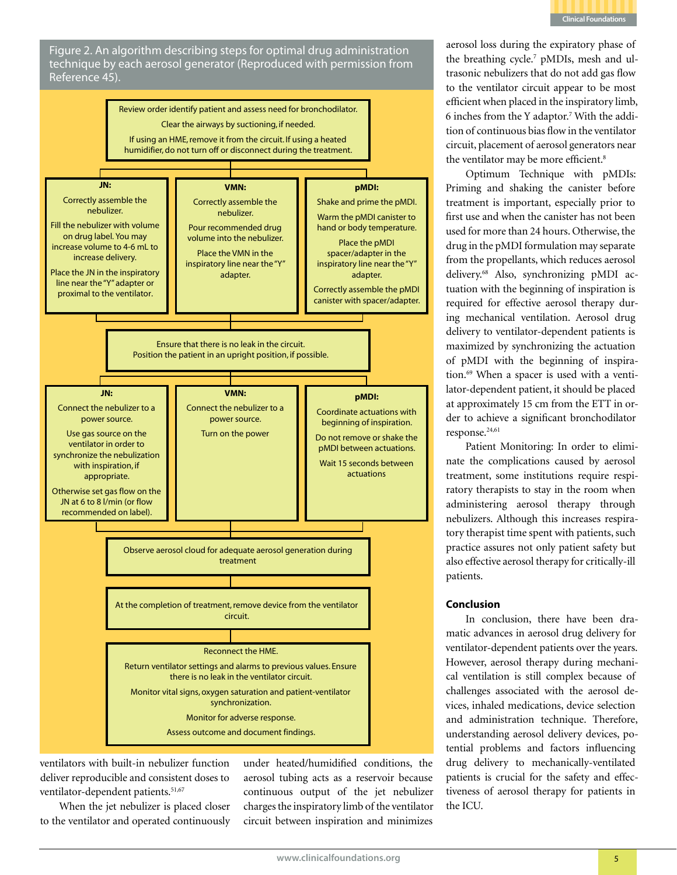

Figure 2. An algorithm describing steps for optimal drug administration technique by each aerosol generator (Reproduced with permission from Reference 45).



ventilators with built-in nebulizer function deliver reproducible and consistent doses to ventilator-dependent patients.<sup>51,67</sup>

When the jet nebulizer is placed closer to the ventilator and operated continuously

under heated/humidified conditions, the aerosol tubing acts as a reservoir because continuous output of the jet nebulizer charges the inspiratory limb of the ventilator circuit between inspiration and minimizes

aerosol loss during the expiratory phase of the breathing cycle.<sup>7</sup> pMDIs, mesh and ultrasonic nebulizers that do not add gas flow to the ventilator circuit appear to be most efficient when placed in the inspiratory limb, 6 inches from the Y adaptor.7 With the addition of continuous bias flow in the ventilator circuit, placement of aerosol generators near the ventilator may be more efficient.<sup>8</sup>

Optimum Technique with pMDIs: Priming and shaking the canister before treatment is important, especially prior to first use and when the canister has not been used for more than 24 hours. Otherwise, the drug in the pMDI formulation may separate from the propellants, which reduces aerosol delivery.68 Also, synchronizing pMDI actuation with the beginning of inspiration is required for effective aerosol therapy during mechanical ventilation. Aerosol drug delivery to ventilator-dependent patients is maximized by synchronizing the actuation of pMDI with the beginning of inspiration.69 When a spacer is used with a ventilator-dependent patient, it should be placed at approximately 15 cm from the ETT in order to achieve a significant bronchodilator response.<sup>24,61</sup>

Patient Monitoring: In order to eliminate the complications caused by aerosol treatment, some institutions require respiratory therapists to stay in the room when administering aerosol therapy through nebulizers. Although this increases respiratory therapist time spent with patients, such practice assures not only patient safety but also effective aerosol therapy for critically-ill patients.

### **Conclusion**

In conclusion, there have been dramatic advances in aerosol drug delivery for ventilator-dependent patients over the years. However, aerosol therapy during mechanical ventilation is still complex because of challenges associated with the aerosol devices, inhaled medications, device selection and administration technique. Therefore, understanding aerosol delivery devices, potential problems and factors influencing drug delivery to mechanically-ventilated patients is crucial for the safety and effectiveness of aerosol therapy for patients in the ICU.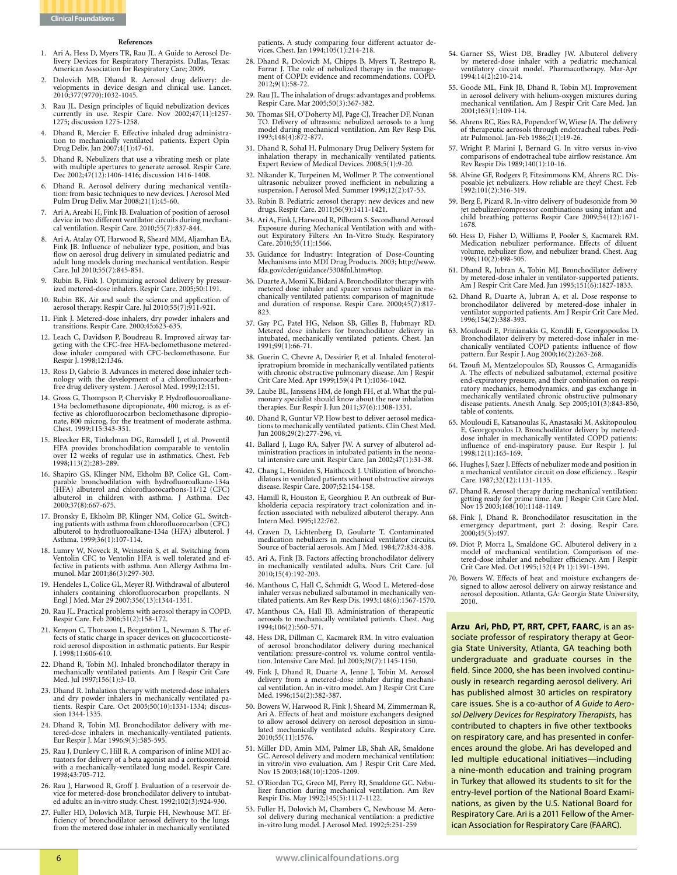

#### **References**

- 1. Ari A, Hess D, Myers TR, Rau JL. A Guide to Aerosol Delivery Devices for Respiratory Therapists. Dallas, Texas: American Association for Respiratory Care; 2009.
- 2. Dolovich MB, Dhand R. Aerosol drug delivery: developments in device design and clinical use. Lancet. 2010;377(9770):1032-1045.
- 3. Rau JL. Design principles of liquid nebulization devices currently in use. Respir Care. Nov 2002;47(11):1257- 1275; discussion 1275-1258.
- 4. Dhand R, Mercier E. Effective inhaled drug administration to mechanically ventilated patients. Expert Opin Drug Deliv. Jan 2007;4(1):47-61.
- 5. Dhand R. Nebulizers that use a vibrating mesh or plate with multiple apertures to generate aerosol. Respir Care. Dec 2002;47(12):1406-1416; discussion 1416-1408.
- 6. Dhand R. Aerosol delivery during mechanical ventila- tion: from basic techniques to new devices. J Aerosol Med Pulm Drug Deliv. Mar 2008;21(1):45-60.
- Ari A, Areabi H, Fink JB. Evaluation of position of aerosol device in two different ventilator circuits during mechani- cal ventilation. Respir Care. 2010;55(7):837-844.
- 8. Ari A, Atalay OT, Harwood R, Sheard MM, Aljamhan EA, Fink JB. Influence of nebulizer type, position, and bias flow on aerosol drug delivery in simulated pediatric and adult lung models during mechanical ventilation. Respir Care. Jul 2010;55(7):845-851.
- 9. Rubin B, Fink J. Optimizing aerosol delivery by pressur-ized metered-dose inhalers. Respir Care. 2005;50:1191.
- 10. Rubin BK. Air and soul: the science and application of aerosol therapy. Respir Care. Jul 2010;55(7):911-921.
- 11. Fink J. Metered-dose inhalers, dry powder inhalers and transitions. Respir Care. 2000;45:623-635.
- 12. Leach C, Davidson P, Boudreau R. Improved airway tar- geting with the CFC-free HFA-beclomethasone metereddose inhaler compared with CFC-beclomethasone. Eur Respir J. 1998;12:1346.
- 13. Ross D, Gabrio B. Advances in metered dose inhaler tech- nology with the development of a chlorofluorocarbonfree drug delivery system. J Aerosol Med. 1999;12:151.
- 14. Gross G, Thompson P, Chervisky P. Hydroflouoroalkane-134a beclomethasone dipropionate, 400 microg, is as effective as chlorofluorocarbon beclomethasone dipropionate, 800 microg, for the treatment of moderate asthma.<br>Chest. 1999;115:343-351.
- 15. Bleecker ER, Tinkelman DG, Ramsdell J, et al. Proventil HFA provides bronchodilation comparable to ventolin over 12 weeks of regular use in asthmatics. Chest. Feb 1998;113(2):283-289.
- 16. Shapiro GS, Klinger NM, Ekholm BP, Colice GL. Comparable bronchodilation with hydrofluoroalkane-134a (HFA) albuterol and chlorofluorocarbons-11/12 (CFC) albuterol in children with asthma. J Asthma. Dec 2000;37(8):667-675.
- 17. Bronsky E, Ekholm BP, Klinger NM, Colice GL. Switching patients with asthma from chlorofluorocarbon (CFC) albuterol to hydrofluoroalkane-134a (HFA) albuterol. J Asthma. 1999;36(1):107-114.
- 18. Lumry W, Noveck R, Weinstein S, et al. Switching from Ventolin CFC to Ventolin HFA is well tolerated and effective in patients with asthma. Ann Allergy Asthma Immunol. Mar 2001;86(3):297-303.
- 19. Hendeles L, Colice GL, Meyer RJ. Withdrawal of albuterol inhalers containing chlorofluorocarbon propellants. N Engl J Med. Mar 29 2007;356(13):1344-1351.
- 20. Rau JL. Practical problems with aerosol therapy in COPD. Respir Care. Feb 2006;51(2):158-172.
- 21. Kenyon C, Thorsson L, Borgström L, Newman S. The ef- fects of static charge in spacer devices on glucocorticoste- roid aerosol disposition in asthmatic patients. Eur Respir J. 1998;11:606-610.
- 22. Dhand R, Tobin MJ. Inhaled bronchodilator therapy in mechanically ventilated patients. Am J Respir Crit Care Med. Jul 1997;156(1):3-10.
- 23. Dhand R. Inhalation therapy with metered-dose inhalers and dry powder inhalers in mechanically ventilated patients. Respir Care. Oct 2005;50(10):1331-1334; discussion 1344-1335.
- 24. Dhand R, Tobin MJ. Bronchodilator delivery with metered-dose inhalers in mechanically-ventilated patients. Eur Respir J. Mar 1996;9(3):585-595.
- 25. Rau J, Dunlevy C, Hill R. A comparison of inline MDI ac- tuators for delivery of a beta agonist and a corticosteroid with a mechanically-ventilated lung model. Respir Care. 1998;43:705-712.
- 26. Rau J, Harwood R, Groff J. Evaluation of a reservoir device for metered-dose bronchodilator delivery to intubated adults: an in-vitro study. Chest. 1992;102(3):924-930.
- 27. Fuller HD, Dolovich MB, Turpie FH, Newhouse MT. Ef- ficiency of bronchodilator aerosol delivery to the lungs from the metered dose inhaler in mechanically ventilated

patients. A study comparing four different actuator de- vices. Chest. Jan 1994;105(1):214-218.

- 28. Dhand R, Dolovich M, Chipps B, Myers T, Restrepo R, ment of COPD: evidence and recommendations. COPD. 2012;9(1):58-72.
- 29. Rau JL. The inhalation of drugs: advantages and problems. Respir Care. Mar 2005;50(3):367-382.
- 30. Thomas SH, O'Doherty MJ, Page CJ, Treacher DF, Nunan TO. Delivery of ultrasonic nebulized aerosols to a lung model during mechanical ventilation. Am Rev Resp Dis. 1993;148(4):872-877.
- 31. Dhand R, Sohal H. Pulmonary Drug Delivery System for inhalation therapy in mechanically ventilated patients. Expert Review of Medical Devices. 2008;5(1):9-20.
- Nikander K, Turpeinen M, Wollmer P. The conventional ultrasonic nebulizer proved inefficient in nebulizing a suspension. J Aerosol Med. Summer 1999;12(2):47-53.
- 33. Rubin B. Pediatric aerosol therapy: new devices and new drugs. Respir Care. 2011;56(9):1411-1421.
- 34. Ari A, Fink J, Harwood R, Pilbeam S. Secondhand Aerosol Exposure during Mechanical Ventilation with and without Expiratory Filters: An In-Vitro Study. Respiratory Care. 2010;55(11):1566.
- 35. Guidance for Industry: Integration of Dose-Counting Mechanisms into MDI Drug Products. 2003; http://www. fda.gov/cder/guidance/5308fnl.htm#top.
- 36. Duarte A, Momi K, Bidani A. Bronchodilator therapy with metered dose inhaler and spacer versus nebulizer in me- chanically ventilated patients: comparison of magnitude and duration of response. Respir Care. 2000;45(7):817- 823.
- 37. Gay PC, Patel HG, Nelson SB, Gilles B, Hubmayr RD. Metered dose inhalers for bronchodilator delivery in intubated, mechanically ventilated patients. Chest. Jan 1991;99(1):66-71.
- 38. Guerin C, Chevre A, Dessirier P, et al. Inhaled fenoterolipratropium bromide in mechanically ventilated patients with chronic obstructive pulmonary disease. Am J Respir Crit Care Med. Apr 1999;159(4 Pt 1):1036-1042.
- 39. Laube BL, Janssens HM, de Jongh FH, et al. What the pul- monary specialist should know about the new inhalation therapies. Eur Respir J. Jun 2011;37(6):1308-1331.
- 40. Dhand R, Guntur VP. How best to deliver aerosol medications to mechanically ventilated patients. Clin Chest Med. Jun 2008;29(2):277-296, vi.
- 41. Ballard J, Lugo RA, Salyer JW. A survey of albuterol ad- ministration practices in intubated patients in the neona- tal intensive care unit. Respir Care. Jan 2002;47(1):31-38.
- 42. Chang L, Honiden S, Haithcock J. Utilization of bronchodilators in ventilated patients without obstructive airways disease. Respir Care. 2007;52:154-158.
- 43. Hamill R, Houston E, Georghiou P. An outbreak of Bur-<br>kholderia cepacia respiratory tract colonization and in-<br>fection associated with nebulized albuterol therapy. Ann Intern Med. 1995;122:762.
- 44. Craven D, Lichtenberg D, Goularte T. Contaminated medication nebulizers in mechanical ventilator circuits. Source of bacterial aerosols. Am J Med. 1984;77:834-838.
- 45. Ari A, Fink JB. Factors affecting bronchodilator delivery in mechanically ventilated adults. Nurs Crit Care. Jul 2010;15(4):192-203.
- 46. Manthous C, Hall C, Schmidt G, Wood L. Metered-dose tilated patients. Am Rev Resp Dis. 1993;148(6):1567-1570.
- 47. Manthous CA, Hall JB. Administration of therapeutic aerosols to mechanically ventilated patients. Chest. Aug 1994;106(2):560-571.
- 48. Hess DR, Dillman C, Kacmarek RM. In vitro evaluation of aerosol bronchodilator delivery during mechanical tion. Intensive Care Med. Jul 2003;29(7):1145-1150.
- 49. Fink J, Dhand R, Duarte A, Jenne J, Tobin M. Aerosol cal ventilation. An in-vitro model. Am J Respir Crit Care Med. 1996;154(2):382-387.
- 50. Bowers W, Harwood R, Fink J, Sheard M, Zimmerman R, Ari A. Effects of heat and moisture exchangers designed to allow aerosol delivery on aerosol deposition in simulated mechanically ventilated adults. Respiratory Care. 2010;55(11):1576.
- 51. Miller DD, Amin MM, Palmer LB, Shah AR, Smaldone GC. Aerosol delivery and modern mechanical ventilation: in vitro/in vivo evaluation. Am J Respir Crit Care Med. Nov 15 2003;168(10):1205-1209.
- 52. O'Riordan TG, Greco MJ, Perry RJ, Smaldone GC. Nebu- lizer function during mechanical ventilation. Am Rev Respir Dis. May 1992;145(5):1117-1122.
- 53. Fuller H, Dolovich M, Chambers C, Newhouse M. Aero- sol delivery during mechanical ventilation: a predictive in-vitro lung model. J Aerosol Med. 1992;5:251-259
- 54. Garner SS, Wiest DB, Bradley JW. Albuterol delivery by metered-dose inhaler with a pediatric mechanical ventilatory circuit model. Pharmacotherapy. Mar-Apr 1994;14(2):210-214.
- 55. Goode ML, Fink JB, Dhand R, Tobin MJ. Improvement in aerosol delivery with helium-oxygen mixtures during mechanical ventilation. Am J Respir Crit Care Med. Jan 2001;163(1):109-114.
- 56. Ahrens RC, Ries RA, Popendorf W, Wiese JA. The delivery of therapeutic aerosols through endotracheal tubes. Pedi- atr Pulmonol. Jan-Feb 1986;2(1):19-26.
- 57. Wright P, Marini J, Bernard G. In vitro versus in-vivo comparisons of endotracheal tube airflow resistance. Am Rev Respir Dis 1989;140(1):10-16.
- 58. Alvine GF, Rodgers P, Fitzsimmons KM, Ahrens RC. Dis- posable jet nebulizers. How reliable are they? Chest. Feb 1992;101(2):316-319.
- 59. Berg E, Picard R. In-vitro delivery of budesonide from 30 jet nebulizer/compressor combinations using infant and child breathing patterns Respir Care 2009;54(12):1671- 1678.
- 60. Hess D, Fisher D, Williams P, Pooler S, Kacmarek RM. Medication nebulizer performance. Effects of diluent volume, nebulizer flow, and nebulizer brand. Chest. Aug 1996;110(2):498-505.
- 61. Dhand R, Jubran A, Tobin MJ. Bronchodilator delivery by metered-dose inhaler in ventilator-supported patients. Am J Respir Crit Care Med. Jun 1995;151(6):1827-1833.
- 62. Dhand R, Duarte A, Jubran A, et al. Dose response to bronchodilator delivered by metered-dose inhaler in ventilator supported patients. Am J Respir Crit Care Med. 1996;154(2):388-393.
- 63. Mouloudi E, Prinianakis G, Kondili E, Georgopoulos D. Bronchodilator delivery by metered-dose inhaler in me-chanically ventilated COPD patients: influence of flow pattern. Eur Respir J. Aug 2000;16(2):263-268.
- 64. Tzoufi M, Mentzelopoulos SD, Roussos C, Armaganidis A. The effects of nebulized salbutamol, external positive end-expiratory pressure, and their combination on respiratory mechanics, hemodynamics, and gas exchange in mechanically ventilated chronic obstructive pulmonary disease patients. Anesth Analg. Sep 2005;101(3):843-850, table of contents.
- 65. Mouloudi E, Katsanoulas K, Anastasaki M, Askitopoulou E, Georgopoulos D. Bronchodilator delivery by metereddose inhaler in mechanically ventilated COPD patients: influence of end-inspiratory pause. Eur Respir J. Jul 1998;12(1):165-169.
- 66. Hughes J, Saez J. Effects of nebulizer mode and position in a mechanical ventilator circuit on dose efficiency. . Respir Care. 1987;32(12):1131-1135.
- 67. Dhand R. Aerosol therapy during mechanical ventilation: getting ready for prime time. Am J Respir Crit Care Med. Nov 15 2003;168(10):1148-1149.
- 68. Fink J, Dhand R. Bronchodilator resuscitation in the emergency department, part 2: dosing. Respir Care. 2000;45(5):497.
- 69. Diot P, Morra L, Smaldone GC. Albuterol delivery in a model of mechanical ventilation. Comparison of metered-dose inhaler and nebulizer efficiency. Am J Respir Crit Care Med. Oct 1995;152(4 Pt 1):1391-1394.
- 70. Bowers W. Effects of heat and moisture exchangers designed to allow aerosol delivery on airway resistance and aerosol deposition. Atlanta, GA: Georgia State University, 2010.

**Arzu Ari, PhD, PT, RRT, CPFT, FAARC**, is an associate professor of respiratory therapy at Georgia State University, Atlanta, GA teaching both undergraduate and graduate courses in the field. Since 2000, she has been involved continuously in research regarding aerosol delivery. Ari has published almost 30 articles on respiratory care issues. She is a co-author of *A Guide to Aerosol Delivery Devices for Respiratory Therapists*, has contributed to chapters in five other textbooks on respiratory care, and has presented in conferences around the globe. Ari has developed and led multiple educational initiatives—including a nine-month education and training program in Turkey that allowed its students to sit for the entry-level portion of the National Board Examinations, as given by the U.S. National Board for Respiratory Care. Ari is a 2011 Fellow of the American Association for Respiratory Care (FAARC).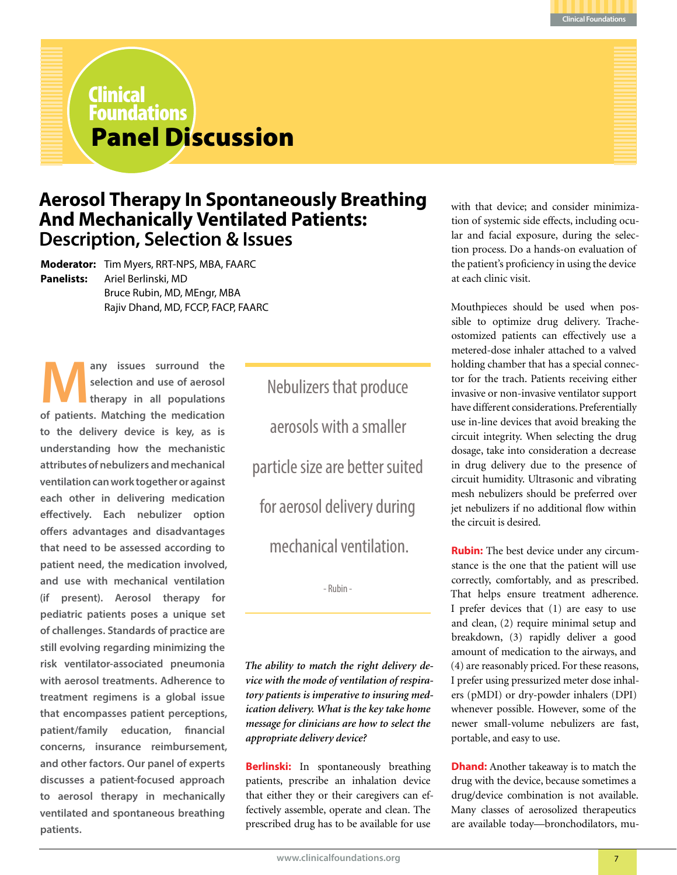

# Panel Discussion Clinical Foundations

# **Aerosol Therapy In Spontaneously Breathing And Mechanically Ventilated Patients: Description, Selection & Issues**

**Moderator:** Tim Myers, RRT-NPS, MBA, FAARC **Panelists:** Ariel Berlinski, MD Bruce Rubin, MD, MEngr, MBA Rajiv Dhand, MD, FCCP, FACP, FAARC

any issues surround the **selection and use of aerosol therapy in all populations of patients. Matching the medication to the delivery device is key, as is understanding how the mechanistic attributes of nebulizers and mechanical ventilation can work together or against each other in delivering medication effectively. Each nebulizer option offers advantages and disadvantages that need to be assessed according to patient need, the medication involved, and use with mechanical ventilation (if present). Aerosol therapy for pediatric patients poses a unique set of challenges. Standards of practice are still evolving regarding minimizing the risk ventilator-associated pneumonia with aerosol treatments. Adherence to treatment regimens is a global issue that encompasses patient perceptions, patient/family education, financial concerns, insurance reimbursement, and other factors. Our panel of experts discusses a patient-focused approach to aerosol therapy in mechanically ventilated and spontaneous breathing patients.**

Nebulizers that produce aerosols with a smaller particle size are better suited for aerosol delivery during mechanical ventilation.

- Rubin -

*The ability to match the right delivery device with the mode of ventilation of respiratory patients is imperative to insuring medication delivery. What is the key take home message for clinicians are how to select the appropriate delivery device?*

**Berlinski:** In spontaneously breathing patients, prescribe an inhalation device that either they or their caregivers can effectively assemble, operate and clean. The prescribed drug has to be available for use

with that device; and consider minimization of systemic side effects, including ocular and facial exposure, during the selection process. Do a hands-on evaluation of the patient's proficiency in using the device at each clinic visit.

Mouthpieces should be used when possible to optimize drug delivery. Tracheostomized patients can effectively use a metered-dose inhaler attached to a valved holding chamber that has a special connector for the trach. Patients receiving either invasive or non-invasive ventilator support have different considerations. Preferentially use in-line devices that avoid breaking the circuit integrity. When selecting the drug dosage, take into consideration a decrease in drug delivery due to the presence of circuit humidity. Ultrasonic and vibrating mesh nebulizers should be preferred over jet nebulizers if no additional flow within the circuit is desired.

**Rubin:** The best device under any circumstance is the one that the patient will use correctly, comfortably, and as prescribed. That helps ensure treatment adherence. I prefer devices that (1) are easy to use and clean, (2) require minimal setup and breakdown, (3) rapidly deliver a good amount of medication to the airways, and (4) are reasonably priced. For these reasons, I prefer using pressurized meter dose inhalers (pMDI) or dry-powder inhalers (DPI) whenever possible. However, some of the newer small-volume nebulizers are fast, portable, and easy to use.

**Dhand:** Another takeaway is to match the drug with the device, because sometimes a drug/device combination is not available. Many classes of aerosolized therapeutics are available today—bronchodilators, mu-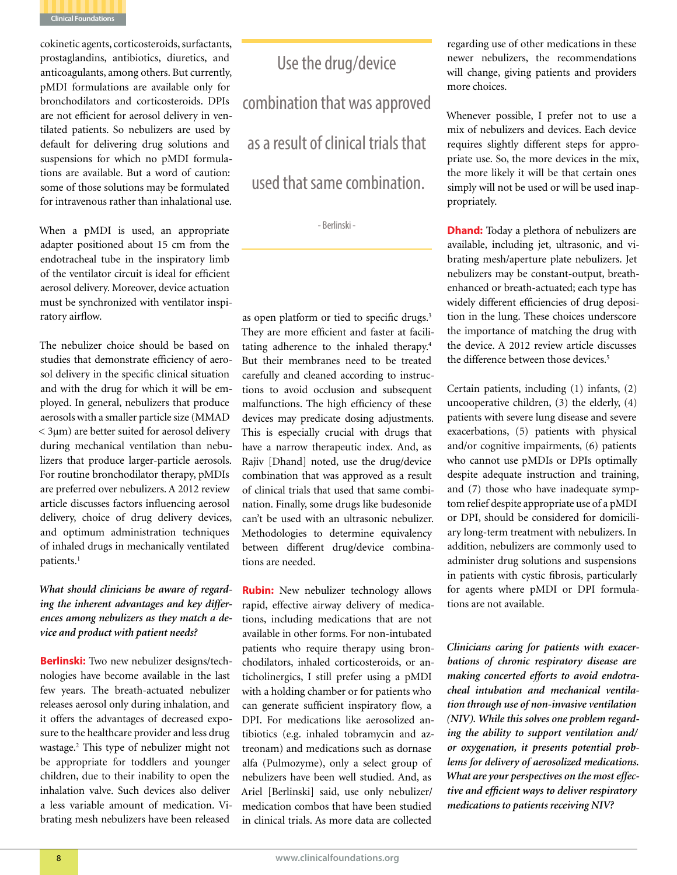

cokinetic agents, corticosteroids, surfactants, prostaglandins, antibiotics, diuretics, and anticoagulants, among others. But currently, pMDI formulations are available only for bronchodilators and corticosteroids. DPIs are not efficient for aerosol delivery in ventilated patients. So nebulizers are used by default for delivering drug solutions and suspensions for which no pMDI formulations are available. But a word of caution: some of those solutions may be formulated for intravenous rather than inhalational use.

When a pMDI is used, an appropriate adapter positioned about 15 cm from the endotracheal tube in the inspiratory limb of the ventilator circuit is ideal for efficient aerosol delivery. Moreover, device actuation must be synchronized with ventilator inspiratory airflow.

The nebulizer choice should be based on studies that demonstrate efficiency of aerosol delivery in the specific clinical situation and with the drug for which it will be employed. In general, nebulizers that produce aerosols with a smaller particle size (MMAD < 3µm) are better suited for aerosol delivery during mechanical ventilation than nebulizers that produce larger-particle aerosols. For routine bronchodilator therapy, pMDIs are preferred over nebulizers. A 2012 review article discusses factors influencing aerosol delivery, choice of drug delivery devices, and optimum administration techniques of inhaled drugs in mechanically ventilated patients.<sup>1</sup>

# *What should clinicians be aware of regarding the inherent advantages and key differences among nebulizers as they match a device and product with patient needs?*

**Berlinski:** Two new nebulizer designs/technologies have become available in the last few years. The breath-actuated nebulizer releases aerosol only during inhalation, and it offers the advantages of decreased exposure to the healthcare provider and less drug wastage.2 This type of nebulizer might not be appropriate for toddlers and younger children, due to their inability to open the inhalation valve. Such devices also deliver a less variable amount of medication. Vibrating mesh nebulizers have been released

Use the drug/device combination that was approved as a result of clinical trials that used that same combination.

- Berlinski -

as open platform or tied to specific drugs.<sup>3</sup> They are more efficient and faster at facilitating adherence to the inhaled therapy.<sup>4</sup> But their membranes need to be treated carefully and cleaned according to instructions to avoid occlusion and subsequent malfunctions. The high efficiency of these devices may predicate dosing adjustments. This is especially crucial with drugs that have a narrow therapeutic index. And, as Rajiv [Dhand] noted, use the drug/device combination that was approved as a result of clinical trials that used that same combination. Finally, some drugs like budesonide can't be used with an ultrasonic nebulizer. Methodologies to determine equivalency between different drug/device combinations are needed.

**Rubin:** New nebulizer technology allows rapid, effective airway delivery of medications, including medications that are not available in other forms. For non-intubated patients who require therapy using bronchodilators, inhaled corticosteroids, or anticholinergics, I still prefer using a pMDI with a holding chamber or for patients who can generate sufficient inspiratory flow, a DPI. For medications like aerosolized antibiotics (e.g. inhaled tobramycin and aztreonam) and medications such as dornase alfa (Pulmozyme), only a select group of nebulizers have been well studied. And, as Ariel [Berlinski] said, use only nebulizer/ medication combos that have been studied in clinical trials. As more data are collected

regarding use of other medications in these newer nebulizers, the recommendations will change, giving patients and providers more choices.

Whenever possible, I prefer not to use a mix of nebulizers and devices. Each device requires slightly different steps for appropriate use. So, the more devices in the mix, the more likely it will be that certain ones simply will not be used or will be used inappropriately.

**Dhand:** Today a plethora of nebulizers are available, including jet, ultrasonic, and vibrating mesh/aperture plate nebulizers. Jet nebulizers may be constant-output, breathenhanced or breath-actuated; each type has widely different efficiencies of drug deposition in the lung. These choices underscore the importance of matching the drug with the device. A 2012 review article discusses the difference between those devices.<sup>5</sup>

Certain patients, including (1) infants, (2) uncooperative children, (3) the elderly, (4) patients with severe lung disease and severe exacerbations, (5) patients with physical and/or cognitive impairments, (6) patients who cannot use pMDIs or DPIs optimally despite adequate instruction and training, and (7) those who have inadequate symptom relief despite appropriate use of a pMDI or DPI, should be considered for domiciliary long-term treatment with nebulizers. In addition, nebulizers are commonly used to administer drug solutions and suspensions in patients with cystic fibrosis, particularly for agents where pMDI or DPI formulations are not available.

*Clinicians caring for patients with exacerbations of chronic respiratory disease are making concerted efforts to avoid endotracheal intubation and mechanical ventilation through use of non-invasive ventilation (NIV). While this solves one problem regarding the ability to support ventilation and/ or oxygenation, it presents potential problems for delivery of aerosolized medications. What are your perspectives on the most effective and efficient ways to deliver respiratory medications to patients receiving NIV?*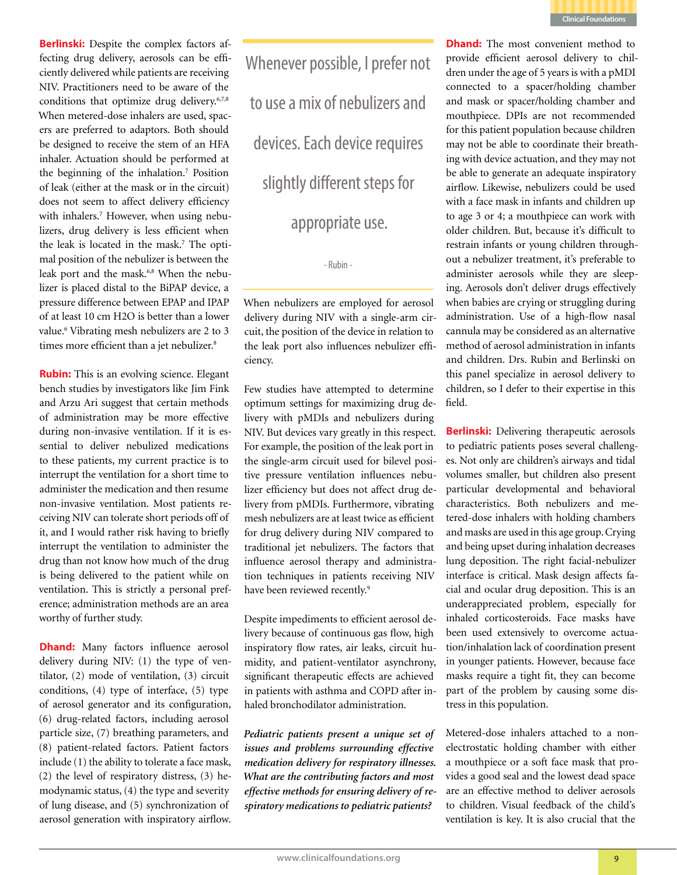**Clinical Foundations**

**Berlinski:** Despite the complex factors affecting drug delivery, aerosols can be efficiently delivered while patients are receiving NIV. Practitioners need to be aware of the conditions that optimize drug delivery.<sup>6,7,8</sup> When metered-dose inhalers are used, spacers are preferred to adaptors. Both should be designed to receive the stem of an HFA inhaler. Actuation should be performed at the beginning of the inhalation.<sup>7</sup> Position of leak (either at the mask or in the circuit) does not seem to affect delivery efficiency with inhalers.<sup>7</sup> However, when using nebulizers, drug delivery is less efficient when the leak is located in the mask.<sup>7</sup> The optimal position of the nebulizer is between the leak port and the mask.<sup>6,8</sup> When the nebulizer is placed distal to the BiPAP device, a pressure difference between EPAP and IPAP of at least 10 cm H2O is better than a lower value.<sup>6</sup> Vibrating mesh nebulizers are 2 to 3 times more efficient than a jet nebulizer.<sup>8</sup>

**Rubin:** This is an evolving science. Elegant bench studies by investigators like Jim Fink and Arzu Ari suggest that certain methods of administration may be more effective during non-invasive ventilation. If it is essential to deliver nebulized medications to these patients, my current practice is to interrupt the ventilation for a short time to administer the medication and then resume non-invasive ventilation. Most patients receiving NIV can tolerate short periods off of it, and I would rather risk having to briefly interrupt the ventilation to administer the drug than not know how much of the drug is being delivered to the patient while on ventilation. This is strictly a personal preference; administration methods are an area worthy of further study.

**Dhand:** Many factors influence aerosol delivery during NIV: (1) the type of ventilator, (2) mode of ventilation, (3) circuit conditions, (4) type of interface, (5) type of aerosol generator and its configuration, (6) drug-related factors, including aerosol particle size, (7) breathing parameters, and (8) patient-related factors. Patient factors include (1) the ability to tolerate a face mask, (2) the level of respiratory distress, (3) hemodynamic status, (4) the type and severity of lung disease, and (5) synchronization of aerosol generation with inspiratory airflow. Whenever possible, I prefer not to use a mix of nebulizers and devices. Each device requires slightly different steps for appropriate use.

- Rubin -

When nebulizers are employed for aerosol delivery during NIV with a single-arm circuit, the position of the device in relation to the leak port also influences nebulizer efficiency.

Few studies have attempted to determine optimum settings for maximizing drug delivery with pMDIs and nebulizers during NIV. But devices vary greatly in this respect. For example, the position of the leak port in the single-arm circuit used for bilevel positive pressure ventilation influences nebulizer efficiency but does not affect drug delivery from pMDIs. Furthermore, vibrating mesh nebulizers are at least twice as efficient for drug delivery during NIV compared to traditional jet nebulizers. The factors that influence aerosol therapy and administration techniques in patients receiving NIV have been reviewed recently.<sup>9</sup>

Despite impediments to efficient aerosol delivery because of continuous gas flow, high inspiratory flow rates, air leaks, circuit humidity, and patient-ventilator asynchrony, significant therapeutic effects are achieved in patients with asthma and COPD after inhaled bronchodilator administration.

*Pediatric patients present a unique set of issues and problems surrounding effective medication delivery for respiratory illnesses. What are the contributing factors and most effective methods for ensuring delivery of respiratory medications to pediatric patients?* 

**Dhand:** The most convenient method to provide efficient aerosol delivery to children under the age of 5 years is with a pMDI connected to a spacer/holding chamber and mask or spacer/holding chamber and mouthpiece. DPIs are not recommended for this patient population because children may not be able to coordinate their breathing with device actuation, and they may not be able to generate an adequate inspiratory airflow. Likewise, nebulizers could be used with a face mask in infants and children up to age 3 or 4; a mouthpiece can work with older children. But, because it's difficult to restrain infants or young children throughout a nebulizer treatment, it's preferable to administer aerosols while they are sleeping. Aerosols don't deliver drugs effectively when babies are crying or struggling during administration. Use of a high-flow nasal cannula may be considered as an alternative method of aerosol administration in infants and children. Drs. Rubin and Berlinski on this panel specialize in aerosol delivery to children, so I defer to their expertise in this field.

**Berlinski:** Delivering therapeutic aerosols to pediatric patients poses several challenges. Not only are children's airways and tidal volumes smaller, but children also present particular developmental and behavioral characteristics. Both nebulizers and metered-dose inhalers with holding chambers and masks are used in this age group. Crying and being upset during inhalation decreases lung deposition. The right facial-nebulizer interface is critical. Mask design affects facial and ocular drug deposition. This is an underappreciated problem, especially for inhaled corticosteroids. Face masks have been used extensively to overcome actuation/inhalation lack of coordination present in younger patients. However, because face masks require a tight fit, they can become part of the problem by causing some distress in this population.

Metered-dose inhalers attached to a nonelectrostatic holding chamber with either a mouthpiece or a soft face mask that provides a good seal and the lowest dead space are an effective method to deliver aerosols to children. Visual feedback of the child's ventilation is key. It is also crucial that the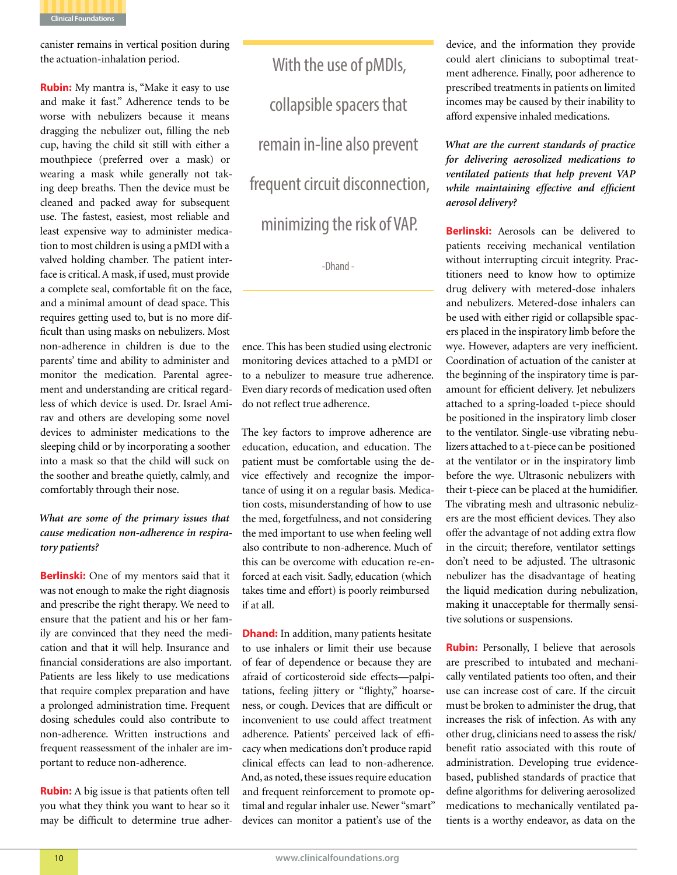

canister remains in vertical position during the actuation-inhalation period.

**Rubin:** My mantra is, "Make it easy to use and make it fast." Adherence tends to be worse with nebulizers because it means dragging the nebulizer out, filling the neb cup, having the child sit still with either a mouthpiece (preferred over a mask) or wearing a mask while generally not taking deep breaths. Then the device must be cleaned and packed away for subsequent use. The fastest, easiest, most reliable and least expensive way to administer medication to most children is using a pMDI with a valved holding chamber. The patient interface is critical. A mask, if used, must provide a complete seal, comfortable fit on the face, and a minimal amount of dead space. This requires getting used to, but is no more difficult than using masks on nebulizers. Most non-adherence in children is due to the parents' time and ability to administer and monitor the medication. Parental agreement and understanding are critical regardless of which device is used. Dr. Israel Amirav and others are developing some novel devices to administer medications to the sleeping child or by incorporating a soother into a mask so that the child will suck on the soother and breathe quietly, calmly, and comfortably through their nose.

# *What are some of the primary issues that cause medication non-adherence in respiratory patients?*

**Berlinski:** One of my mentors said that it was not enough to make the right diagnosis and prescribe the right therapy. We need to ensure that the patient and his or her family are convinced that they need the medication and that it will help. Insurance and financial considerations are also important. Patients are less likely to use medications that require complex preparation and have a prolonged administration time. Frequent dosing schedules could also contribute to non-adherence. Written instructions and frequent reassessment of the inhaler are important to reduce non-adherence.

**Rubin:** A big issue is that patients often tell you what they think you want to hear so it may be difficult to determine true adher-

With the use of pMDIs, collapsible spacers that remain in-line also prevent frequent circuit disconnection, minimizing the risk of VAP.

-Dhand -

ence. This has been studied using electronic monitoring devices attached to a pMDI or to a nebulizer to measure true adherence. Even diary records of medication used often do not reflect true adherence.

The key factors to improve adherence are education, education, and education. The patient must be comfortable using the device effectively and recognize the importance of using it on a regular basis. Medication costs, misunderstanding of how to use the med, forgetfulness, and not considering the med important to use when feeling well also contribute to non-adherence. Much of this can be overcome with education re-enforced at each visit. Sadly, education (which takes time and effort) is poorly reimbursed― if at all.

**Dhand:** In addition, many patients hesitate to use inhalers or limit their use because of fear of dependence or because they are afraid of corticosteroid side effects—palpitations, feeling jittery or "flighty," hoarseness, or cough. Devices that are difficult or inconvenient to use could affect treatment adherence. Patients' perceived lack of efficacy when medications don't produce rapid clinical effects can lead to non-adherence. And, as noted, these issues require education and frequent reinforcement to promote optimal and regular inhaler use. Newer "smart" devices can monitor a patient's use of the

device, and the information they provide could alert clinicians to suboptimal treatment adherence. Finally, poor adherence to prescribed treatments in patients on limited incomes may be caused by their inability to afford expensive inhaled medications.

*What are the current standards of practice for delivering aerosolized medications to ventilated patients that help prevent VAP while maintaining effective and efficient aerosol delivery?*

**Berlinski:** Aerosols can be delivered to patients receiving mechanical ventilation without interrupting circuit integrity. Practitioners need to know how to optimize drug delivery with metered-dose inhalers and nebulizers. Metered-dose inhalers can be used with either rigid or collapsible spacers placed in the inspiratory limb before the wye. However, adapters are very inefficient. Coordination of actuation of the canister at the beginning of the inspiratory time is paramount for efficient delivery. Jet nebulizers attached to a spring-loaded t-piece should be positioned in the inspiratory limb closer to the ventilator. Single-use vibrating nebulizers attached to a t-piece can be positioned at the ventilator or in the inspiratory limb before the wye. Ultrasonic nebulizers with their t-piece can be placed at the humidifier. The vibrating mesh and ultrasonic nebulizers are the most efficient devices. They also offer the advantage of not adding extra flow in the circuit; therefore, ventilator settings don't need to be adjusted. The ultrasonic nebulizer has the disadvantage of heating the liquid medication during nebulization, making it unacceptable for thermally sensitive solutions or suspensions.

**Rubin:** Personally, I believe that aerosols are prescribed to intubated and mechanically ventilated patients too often, and their use can increase cost of care. If the circuit must be broken to administer the drug, that increases the risk of infection. As with any other drug, clinicians need to assess the risk/ benefit ratio associated with this route of administration. Developing true evidencebased, published standards of practice that define algorithms for delivering aerosolized medications to mechanically ventilated patients is a worthy endeavor, as data on the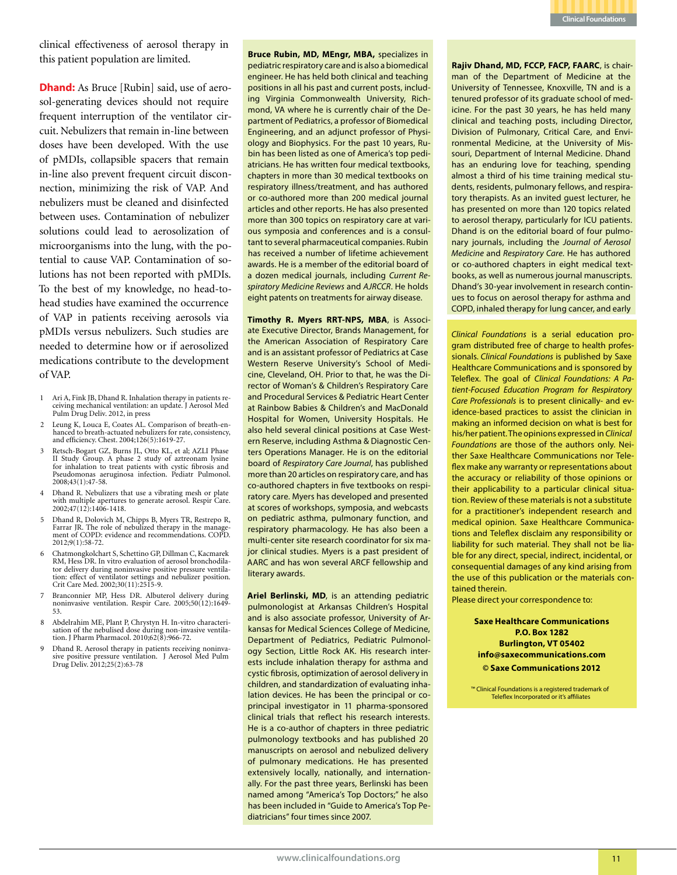

clinical effectiveness of aerosol therapy in this patient population are limited.

**Dhand:** As Bruce [Rubin] said, use of aerosol-generating devices should not require frequent interruption of the ventilator circuit. Nebulizers that remain in-line between doses have been developed. With the use of pMDIs, collapsible spacers that remain in-line also prevent frequent circuit disconnection, minimizing the risk of VAP. And nebulizers must be cleaned and disinfected between uses. Contamination of nebulizer solutions could lead to aerosolization of microorganisms into the lung, with the potential to cause VAP. Contamination of solutions has not been reported with pMDIs. To the best of my knowledge, no head-tohead studies have examined the occurrence of VAP in patients receiving aerosols via pMDIs versus nebulizers. Such studies are needed to determine how or if aerosolized medications contribute to the development of VAP.

- <sup>1</sup> Ari A, Fink JB, Dhand R. Inhalation therapy in patients re- ceiving mechanical ventilation: an update. J Aerosol Med Pulm Drug Deliv. 2012, in press
- 2 Leung K, Louca E, Coates AL. Comparison of breath-enhanced to breath-actuated nebulizers for rate, consistency, and efficiency. Chest. 2004;126(5):1619-27.
- 3 Retsch-Bogart GZ, Burns JL, Otto KL, et al; AZLI Phase II Study Group. A phase 2 study of aztreonam lysine for inhalation to treat patients with cystic fibrosis and Pseudomonas aeruginosa infection. Pediatr Pulmonol. 2008;43(1):47-58.
- 4 Dhand R. Nebulizers that use a vibrating mesh or plate with multiple apertures to generate aerosol. Respir Care. 2002;47(12):1406-1418.
- 5 Dhand R, Dolovich M, Chipps B, Myers TR, Restrepo R, Farrar JR. The role of nebulized therapy in the manage- ment of COPD: evidence and recommendations. COPD. ment of COPD: evidence and recommendations. COPD.<br>2012;9(1):58-72.
- 6 Chatmongkolchart S, Schettino GP, Dillman C, Kacmarek tor delivery during noninvasive positive pressure ventila-<br>tion: effect of ventilator settings and nebulizer position. Crit Care Med. 2002;30(11):2515-9.
- 7 Branconnier MP, Hess DR. Albuterol delivery during noninvasive ventilation. Respir Care. 2005;50(12):1649- 53.
- <sup>8</sup> Abdelrahim ME, Plant P, Chrystyn H. In-vitro characteri- sation of the nebulised dose during non-invasive ventilation. J Pharm Pharmacol. 2010;62(8):966-72.
- <sup>9</sup> Dhand R. Aerosol therapy in patients receiving noninva- sive positive pressure ventilation. J Aerosol Med Pulm Drug Deliv. 2012;25(2):63-78

**Bruce Rubin, MD, MEngr, MBA,** specializes in pediatric respiratory care and is also a biomedical engineer. He has held both clinical and teaching positions in all his past and current posts, including Virginia Commonwealth University, Richmond, VA where he is currently chair of the Department of Pediatrics, a professor of Biomedical Engineering, and an adjunct professor of Physiology and Biophysics. For the past 10 years, Rubin has been listed as one of America's top pediatricians. He has written four medical textbooks, chapters in more than 30 medical textbooks on respiratory illness/treatment, and has authored or co-authored more than 200 medical journal articles and other reports. He has also presented more than 300 topics on respiratory care at various symposia and conferences and is a consultant to several pharmaceutical companies. Rubin has received a number of lifetime achievement awards. He is a member of the editorial board of a dozen medical journals, including *Current Respiratory Medicine Reviews* and *AJRCCR*. He holds eight patents on treatments for airway disease.

**Timothy R. Myers RRT-NPS, MBA**, is Associate Executive Director, Brands Management, for the American Association of Respiratory Care and is an assistant professor of Pediatrics at Case Western Reserve University's School of Medicine, Cleveland, OH. Prior to that, he was the Director of Woman's & Children's Respiratory Care and Procedural Services & Pediatric Heart Center at Rainbow Babies & Children's and MacDonald Hospital for Women, University Hospitals. He also held several clinical positions at Case Western Reserve, including Asthma & Diagnostic Centers Operations Manager. He is on the editorial board of *Respiratory Care Journal*, has published more than 20 articles on respiratory care, and has co-authored chapters in five textbooks on respiratory care. Myers has developed and presented at scores of workshops, symposia, and webcasts on pediatric asthma, pulmonary function, and respiratory pharmacology. He has also been a multi-center site research coordinator for six major clinical studies. Myers is a past president of AARC and has won several ARCF fellowship and literary awards.

**Ariel Berlinski, MD**, is an attending pediatric pulmonologist at Arkansas Children's Hospital and is also associate professor, University of Arkansas for Medical Sciences College of Medicine, Department of Pediatrics, Pediatric Pulmonology Section, Little Rock AK. His research interests include inhalation therapy for asthma and cystic fibrosis, optimization of aerosol delivery in children, and standardization of evaluating inhalation devices. He has been the principal or coprincipal investigator in 11 pharma-sponsored clinical trials that reflect his research interests. He is a co-author of chapters in three pediatric pulmonology textbooks and has published 20 manuscripts on aerosol and nebulized delivery of pulmonary medications. He has presented extensively locally, nationally, and internationally. For the past three years, Berlinski has been named among "America's Top Doctors;" he also has been included in "Guide to America's Top Pediatricians" four times since 2007.

**Rajiv Dhand, MD, FCCP, FACP, FAARC**, is chairman of the Department of Medicine at the University of Tennessee, Knoxville, TN and is a tenured professor of its graduate school of medicine. For the past 30 years, he has held many clinical and teaching posts, including Director, Division of Pulmonary, Critical Care, and Environmental Medicine, at the University of Missouri, Department of Internal Medicine. Dhand has an enduring love for teaching, spending almost a third of his time training medical students, residents, pulmonary fellows, and respiratory therapists. As an invited guest lecturer, he has presented on more than 120 topics related to aerosol therapy, particularly for ICU patients. Dhand is on the editorial board of four pulmonary journals, including the *Journal of Aerosol Medicine* and *Respiratory Care*. He has authored or co-authored chapters in eight medical textbooks, as well as numerous journal manuscripts. Dhand's 30-year involvement in research continues to focus on aerosol therapy for asthma and COPD, inhaled therapy for lung cancer, and early

*Clinical Foundations* is a serial education program distributed free of charge to health professionals. *Clinical Foundations* is published by Saxe Healthcare Communications and is sponsored by Teleflex. The goal of *Clinical Foundations: A Patient-Focused Education Program for Respiratory Care Professionals* is to present clinically- and evidence-based practices to assist the clinician in making an informed decision on what is best for his/her patient. The opinions expressed in *Clinical Foundations* are those of the authors only. Neither Saxe Healthcare Communications nor Teleflex make any warranty or representations about the accuracy or reliability of those opinions or their applicability to a particular clinical situation. Review of these materials is not a substitute for a practitioner's independent research and medical opinion. Saxe Healthcare Communications and Teleflex disclaim any responsibility or liability for such material. They shall not be liable for any direct, special, indirect, incidental, or consequential damages of any kind arising from the use of this publication or the materials contained therein.

Please direct your correspondence to:

**Saxe Healthcare Communications P.O. Box 1282 Burlington, VT 05402 info@saxecommunications.com © Saxe Communications 2012**

™ Clinical Foundations is a registered trademark of Teleflex Incorporated or it's affiliates